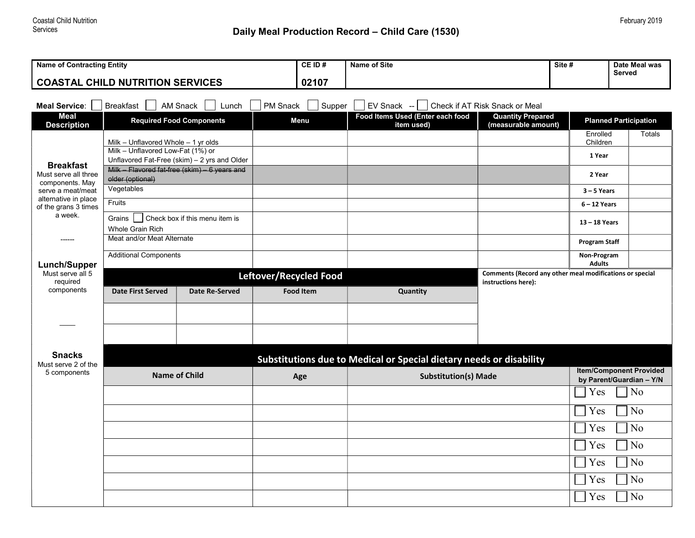## Daily Meal Production Record - Child Care (1530)

| <b>Name of Contracting Entity</b>                                                                                                        |                                                                                   |                       |                  | CE ID# | <b>Name of Site</b>                            |                                                          | Site #<br>Date Meal was<br>Served |                                                            |  |  |
|------------------------------------------------------------------------------------------------------------------------------------------|-----------------------------------------------------------------------------------|-----------------------|------------------|--------|------------------------------------------------|----------------------------------------------------------|-----------------------------------|------------------------------------------------------------|--|--|
| <b>COASTAL CHILD NUTRITION SERVICES</b>                                                                                                  |                                                                                   |                       |                  | 02107  |                                                |                                                          |                                   |                                                            |  |  |
| PM Snack<br>Supper<br><b>EV Snack</b><br>Check if AT Risk Snack or Meal<br><b>Meal Service:</b><br><b>Breakfast</b><br>AM Snack<br>Lunch |                                                                                   |                       |                  |        |                                                |                                                          |                                   |                                                            |  |  |
| Meal<br><b>Description</b>                                                                                                               | <b>Required Food Components</b><br>Menu                                           |                       |                  |        | Food Items Used (Enter each food<br>item used) | <b>Quantity Prepared</b><br>(measurable amount)          |                                   | <b>Planned Participation</b>                               |  |  |
|                                                                                                                                          | Milk - Unflavored Whole $-1$ yr olds                                              |                       |                  |        |                                                |                                                          | Enrolled<br>Children              | <b>Totals</b>                                              |  |  |
| <b>Breakfast</b>                                                                                                                         | Milk - Unflavored Low-Fat (1%) or<br>Unflavored Fat-Free (skim) - 2 yrs and Older |                       |                  |        |                                                |                                                          | 1 Year                            |                                                            |  |  |
| Must serve all three<br>components. May                                                                                                  | Milk - Flavored fat-free (skim) - 6 years and<br>older (optional)                 |                       |                  |        |                                                |                                                          | 2 Year                            |                                                            |  |  |
| serve a meat/meat<br>alternative in place                                                                                                | Vegetables                                                                        |                       |                  |        |                                                |                                                          | $3 - 5$ Years                     |                                                            |  |  |
| of the grans 3 times<br>a week.                                                                                                          | Fruits                                                                            |                       |                  |        |                                                |                                                          | $6 - 12$ Years                    |                                                            |  |  |
|                                                                                                                                          | Grains<br>Check box if this menu item is<br><b>Whole Grain Rich</b>               |                       |                  |        |                                                |                                                          | 13-18 Years                       |                                                            |  |  |
|                                                                                                                                          | Meat and/or Meat Alternate                                                        |                       |                  |        |                                                |                                                          | <b>Program Staff</b>              |                                                            |  |  |
| Lunch/Supper                                                                                                                             | <b>Additional Components</b>                                                      |                       |                  |        |                                                |                                                          | Non-Program<br><b>Adults</b>      |                                                            |  |  |
| Must serve all 5<br>required                                                                                                             | Leftover/Recycled Food                                                            |                       |                  |        |                                                | Comments (Record any other meal modifications or special |                                   |                                                            |  |  |
| components                                                                                                                               | <b>Date First Served</b>                                                          | <b>Date Re-Served</b> | <b>Food Item</b> |        | Quantity                                       | instructions here):                                      |                                   |                                                            |  |  |
|                                                                                                                                          |                                                                                   |                       |                  |        |                                                |                                                          |                                   |                                                            |  |  |
|                                                                                                                                          |                                                                                   |                       |                  |        |                                                |                                                          |                                   |                                                            |  |  |
|                                                                                                                                          |                                                                                   |                       |                  |        |                                                |                                                          |                                   |                                                            |  |  |
| <b>Snacks</b><br>Must serve 2 of the                                                                                                     | Substitutions due to Medical or Special dietary needs or disability               |                       |                  |        |                                                |                                                          |                                   |                                                            |  |  |
| 5 components                                                                                                                             | <b>Name of Child</b>                                                              |                       | Age              |        | <b>Substitution(s) Made</b>                    |                                                          |                                   | <b>Item/Component Provided</b><br>by Parent/Guardian - Y/N |  |  |
|                                                                                                                                          |                                                                                   |                       |                  |        |                                                |                                                          | Yes                               | No                                                         |  |  |
|                                                                                                                                          |                                                                                   |                       |                  |        |                                                |                                                          | Yes                               | N <sub>o</sub>                                             |  |  |
|                                                                                                                                          |                                                                                   |                       |                  |        |                                                |                                                          | Yes                               | N <sub>o</sub>                                             |  |  |
|                                                                                                                                          |                                                                                   |                       |                  |        |                                                |                                                          | Yes                               | N <sub>o</sub>                                             |  |  |
|                                                                                                                                          |                                                                                   |                       |                  |        |                                                |                                                          | Yes                               | No                                                         |  |  |
|                                                                                                                                          |                                                                                   |                       |                  |        |                                                |                                                          | Yes                               | No                                                         |  |  |
|                                                                                                                                          |                                                                                   |                       |                  |        |                                                |                                                          | Yes                               | No                                                         |  |  |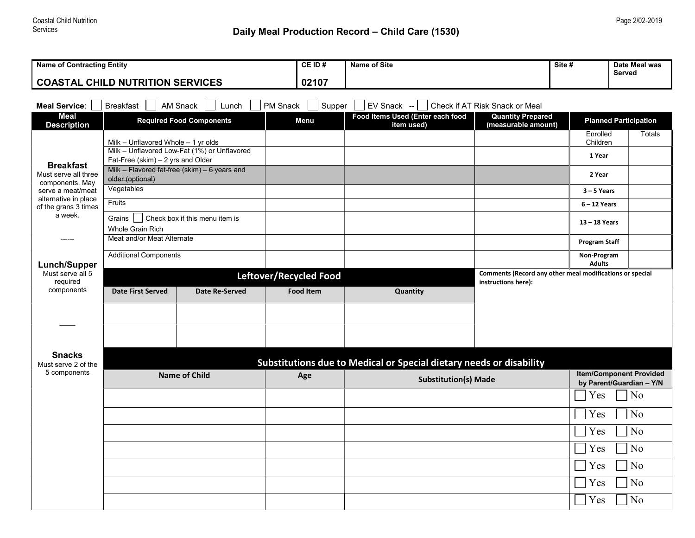## Daily Meal Production Record - Child Care (1530)

| <b>Name of Contracting Entity</b>         |                                                                                    |                                 |                        | <b>Name of Site</b>                                                 |                                                            | Site #<br>Date Meal was<br><b>Served</b> |                              |  |  |  |
|-------------------------------------------|------------------------------------------------------------------------------------|---------------------------------|------------------------|---------------------------------------------------------------------|------------------------------------------------------------|------------------------------------------|------------------------------|--|--|--|
| <b>COASTAL CHILD NUTRITION SERVICES</b>   |                                                                                    |                                 |                        |                                                                     |                                                            |                                          |                              |  |  |  |
|                                           |                                                                                    |                                 |                        |                                                                     |                                                            |                                          |                              |  |  |  |
| Meal Service:  <br><b>Meal</b>            | <b>Breakfast</b>                                                                   | AM Snack<br>Lunch               | PM Snack<br>Supper     | EV Snack --<br>Food Items Used (Enter each food                     | Check if AT Risk Snack or Meal<br><b>Quantity Prepared</b> |                                          |                              |  |  |  |
| <b>Description</b>                        |                                                                                    | <b>Required Food Components</b> | Menu                   | item used)                                                          | (measurable amount)                                        |                                          | <b>Planned Participation</b> |  |  |  |
|                                           | Milk - Unflavored Whole - 1 yr olds                                                |                                 |                        |                                                                     |                                                            | Enrolled<br>Children                     | <b>Totals</b>                |  |  |  |
|                                           | Milk - Unflavored Low-Fat (1%) or Unflavored                                       |                                 |                        |                                                                     |                                                            | 1 Year                                   |                              |  |  |  |
| <b>Breakfast</b><br>Must serve all three  | Fat-Free (skim) - 2 yrs and Older<br>Milk - Flavored fat-free (skim) - 6 years and |                                 |                        |                                                                     |                                                            | 2 Year                                   |                              |  |  |  |
| components. May                           | older (optional)                                                                   |                                 |                        |                                                                     |                                                            |                                          |                              |  |  |  |
| serve a meat/meat<br>alternative in place | Vegetables                                                                         |                                 |                        |                                                                     |                                                            | $3 - 5$ Years                            |                              |  |  |  |
| of the grans 3 times                      | Fruits                                                                             |                                 |                        |                                                                     |                                                            | $6 - 12$ Years                           |                              |  |  |  |
| a week.                                   | Grains<br>Check box if this menu item is<br><b>Whole Grain Rich</b>                |                                 |                        |                                                                     |                                                            | $13 - 18$ Years                          |                              |  |  |  |
|                                           | Meat and/or Meat Alternate                                                         |                                 |                        |                                                                     |                                                            | <b>Program Staff</b>                     |                              |  |  |  |
|                                           | <b>Additional Components</b>                                                       |                                 |                        |                                                                     |                                                            | Non-Program                              |                              |  |  |  |
| Lunch/Supper<br>Must serve all 5          |                                                                                    |                                 | Leftover/Recycled Food |                                                                     | Comments (Record any other meal modifications or special   | <b>Adults</b>                            |                              |  |  |  |
| required<br>components                    |                                                                                    |                                 |                        |                                                                     | instructions here):                                        |                                          |                              |  |  |  |
|                                           | <b>Date First Served</b>                                                           | <b>Date Re-Served</b>           | <b>Food Item</b>       | Quantity                                                            |                                                            |                                          |                              |  |  |  |
|                                           |                                                                                    |                                 |                        |                                                                     |                                                            |                                          |                              |  |  |  |
|                                           |                                                                                    |                                 |                        |                                                                     |                                                            |                                          |                              |  |  |  |
|                                           |                                                                                    |                                 |                        |                                                                     |                                                            |                                          |                              |  |  |  |
| <b>Snacks</b><br>Must serve 2 of the      |                                                                                    |                                 |                        | Substitutions due to Medical or Special dietary needs or disability |                                                            |                                          |                              |  |  |  |
| 5 components                              | <b>Name of Child</b>                                                               |                                 |                        | <b>Item/Component Provided</b>                                      |                                                            |                                          |                              |  |  |  |
|                                           |                                                                                    |                                 | Age                    | <b>Substitution(s) Made</b>                                         | by Parent/Guardian - Y/N                                   |                                          |                              |  |  |  |
|                                           |                                                                                    |                                 |                        |                                                                     |                                                            | Yes                                      | N <sub>o</sub>               |  |  |  |
|                                           |                                                                                    |                                 |                        |                                                                     |                                                            | Yes                                      | No                           |  |  |  |
|                                           |                                                                                    |                                 |                        |                                                                     |                                                            | Yes                                      | N <sub>o</sub>               |  |  |  |
|                                           |                                                                                    |                                 |                        |                                                                     |                                                            | Yes                                      | N <sub>o</sub>               |  |  |  |
|                                           |                                                                                    |                                 |                        |                                                                     |                                                            | Yes                                      | No                           |  |  |  |
|                                           |                                                                                    |                                 |                        |                                                                     |                                                            | Yes                                      | No                           |  |  |  |
|                                           |                                                                                    |                                 |                        |                                                                     |                                                            | Yes                                      | N <sub>o</sub>               |  |  |  |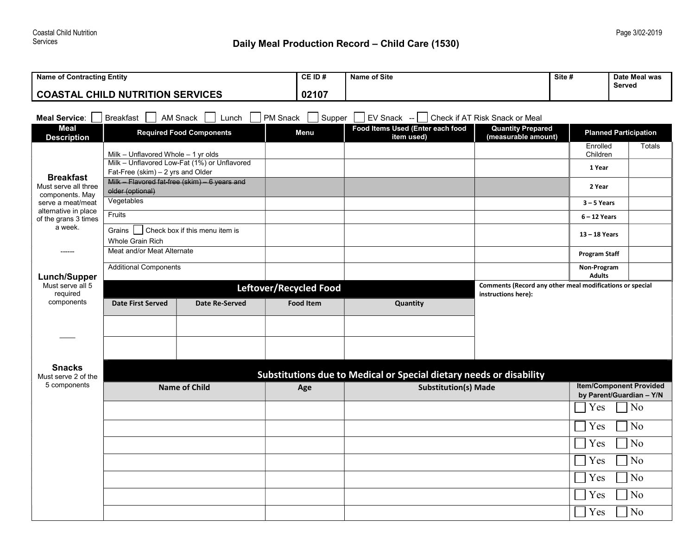| <b>Name of Contracting Entity</b>                                                                                                    |                                                                                                       |                                 |                        | <b>Name of Site</b>                            |                                                          | Site #<br>Date Meal was<br>Served |                              |  |  |  |
|--------------------------------------------------------------------------------------------------------------------------------------|-------------------------------------------------------------------------------------------------------|---------------------------------|------------------------|------------------------------------------------|----------------------------------------------------------|-----------------------------------|------------------------------|--|--|--|
| <b>COASTAL CHILD NUTRITION SERVICES</b>                                                                                              |                                                                                                       |                                 |                        |                                                |                                                          |                                   |                              |  |  |  |
| Check if AT Risk Snack or Meal<br><b>Breakfast</b><br>PM Snack<br>Supper<br>EV Snack --<br><b>Meal Service:</b><br>AM Snack<br>Lunch |                                                                                                       |                                 |                        |                                                |                                                          |                                   |                              |  |  |  |
| <b>Meal</b><br><b>Description</b>                                                                                                    |                                                                                                       | <b>Required Food Components</b> | Menu                   | Food Items Used (Enter each food<br>item used) | <b>Quantity Prepared</b><br>(measurable amount)          |                                   | <b>Planned Participation</b> |  |  |  |
|                                                                                                                                      | Milk - Unflavored Whole - 1 yr olds                                                                   |                                 |                        |                                                |                                                          | Enrolled<br>Children              | Totals                       |  |  |  |
| <b>Breakfast</b>                                                                                                                     | Milk - Unflavored Low-Fat (1%) or Unflavored<br>Fat-Free (skim) - 2 yrs and Older                     |                                 |                        |                                                |                                                          | 1 Year                            |                              |  |  |  |
| Must serve all three<br>components. May                                                                                              | Milk - Flavored fat-free (skim) - 6 years and<br>older (optional)                                     |                                 |                        |                                                |                                                          | 2 Year                            |                              |  |  |  |
| serve a meat/meat                                                                                                                    | Vegetables                                                                                            |                                 |                        |                                                |                                                          | $3 - 5$ Years                     |                              |  |  |  |
| alternative in place<br>of the grans 3 times                                                                                         | Fruits                                                                                                |                                 |                        |                                                |                                                          | $6 - 12$ Years                    |                              |  |  |  |
| a week.                                                                                                                              | Check box if this menu item is<br>Grains<br><b>Whole Grain Rich</b>                                   |                                 |                        |                                                |                                                          | 13 - 18 Years                     |                              |  |  |  |
|                                                                                                                                      | Meat and/or Meat Alternate                                                                            |                                 |                        |                                                |                                                          | <b>Program Staff</b>              |                              |  |  |  |
| <b>Lunch/Supper</b>                                                                                                                  | <b>Additional Components</b>                                                                          |                                 |                        |                                                |                                                          | Non-Program<br><b>Adults</b>      |                              |  |  |  |
| Must serve all 5                                                                                                                     |                                                                                                       |                                 | Leftover/Recycled Food |                                                | Comments (Record any other meal modifications or special |                                   |                              |  |  |  |
| required<br>components                                                                                                               | <b>Date First Served</b><br>Date Re-Served                                                            |                                 | <b>Food Item</b>       | Quantity                                       | instructions here):                                      |                                   |                              |  |  |  |
|                                                                                                                                      |                                                                                                       |                                 |                        |                                                |                                                          |                                   |                              |  |  |  |
|                                                                                                                                      |                                                                                                       |                                 |                        |                                                |                                                          |                                   |                              |  |  |  |
|                                                                                                                                      |                                                                                                       |                                 |                        |                                                |                                                          |                                   |                              |  |  |  |
| <b>Snacks</b>                                                                                                                        |                                                                                                       |                                 |                        |                                                |                                                          |                                   |                              |  |  |  |
| Must serve 2 of the<br>5 components                                                                                                  | Substitutions due to Medical or Special dietary needs or disability<br><b>Item/Component Provided</b> |                                 |                        |                                                |                                                          |                                   |                              |  |  |  |
|                                                                                                                                      | <b>Name of Child</b>                                                                                  |                                 | Age                    | <b>Substitution(s) Made</b>                    |                                                          |                                   | by Parent/Guardian - Y/N     |  |  |  |
|                                                                                                                                      |                                                                                                       |                                 |                        |                                                |                                                          | Yes                               | No                           |  |  |  |
|                                                                                                                                      |                                                                                                       |                                 |                        |                                                |                                                          | Yes                               | No                           |  |  |  |
|                                                                                                                                      |                                                                                                       |                                 |                        |                                                |                                                          | Yes                               | No                           |  |  |  |
|                                                                                                                                      |                                                                                                       |                                 |                        |                                                |                                                          | Yes                               | No                           |  |  |  |
|                                                                                                                                      |                                                                                                       |                                 |                        |                                                |                                                          | Yes                               | No                           |  |  |  |
|                                                                                                                                      |                                                                                                       |                                 |                        |                                                |                                                          | Yes                               | No                           |  |  |  |
|                                                                                                                                      |                                                                                                       |                                 |                        |                                                |                                                          | Yes                               | No                           |  |  |  |